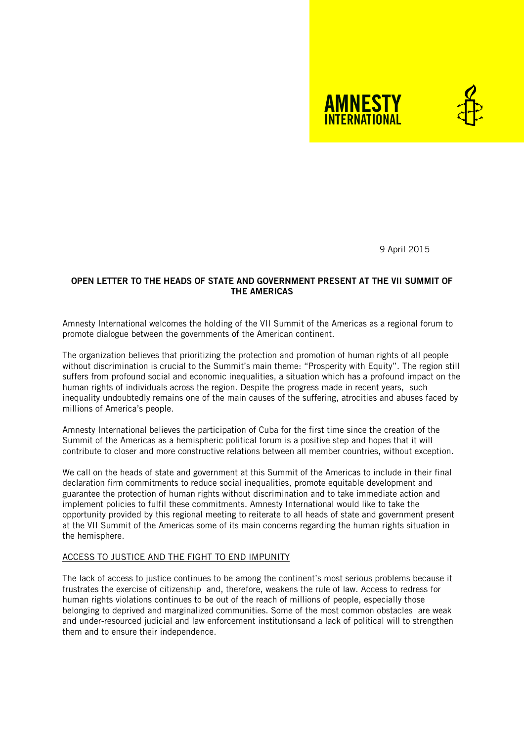



9 April 2015

# **OPEN LETTER TO THE HEADS OF STATE AND GOVERNMENT PRESENT AT THE VII SUMMIT OF THE AMERICAS**

Amnesty International welcomes the holding of the VII Summit of the Americas as a regional forum to promote dialogue between the governments of the American continent.

The organization believes that prioritizing the protection and promotion of human rights of all people without discrimination is crucial to the Summit's main theme: "Prosperity with Equity". The region still suffers from profound social and economic inequalities, a situation which has a profound impact on the human rights of individuals across the region. Despite the progress made in recent years, such inequality undoubtedly remains one of the main causes of the suffering, atrocities and abuses faced by millions of America's people.

Amnesty International believes the participation of Cuba for the first time since the creation of the Summit of the Americas as a hemispheric political forum is a positive step and hopes that it will contribute to closer and more constructive relations between all member countries, without exception.

We call on the heads of state and government at this Summit of the Americas to include in their final declaration firm commitments to reduce social inequalities, promote equitable development and guarantee the protection of human rights without discrimination and to take immediate action and implement policies to fulfil these commitments. Amnesty International would like to take the opportunity provided by this regional meeting to reiterate to all heads of state and government present at the VII Summit of the Americas some of its main concerns regarding the human rights situation in the hemisphere.

### ACCESS TO JUSTICE AND THE FIGHT TO END IMPUNITY

The lack of access to justice continues to be among the continent's most serious problems because it frustrates the exercise of citizenship and, therefore, weakens the rule of law. Access to redress for human rights violations continues to be out of the reach of millions of people, especially those belonging to deprived and marginalized communities. Some of the most common obstacles are weak and under-resourced judicial and law enforcement institutionsand a lack of political will to strengthen them and to ensure their independence.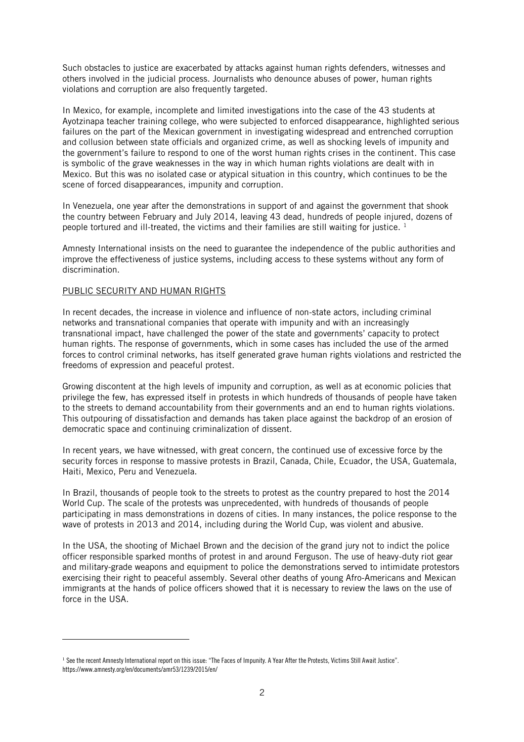Such obstacles to justice are exacerbated by attacks against human rights defenders, witnesses and others involved in the judicial process. Journalists who denounce abuses of power, human rights violations and corruption are also frequently targeted.

In Mexico, for example, incomplete and limited investigations into the case of the 43 students at Ayotzinapa teacher training college, who were subjected to enforced disappearance, highlighted serious failures on the part of the Mexican government in investigating widespread and entrenched corruption and collusion between state officials and organized crime, as well as shocking levels of impunity and the government's failure to respond to one of the worst human rights crises in the continent. This case is symbolic of the grave weaknesses in the way in which human rights violations are dealt with in Mexico. But this was no isolated case or atypical situation in this country, which continues to be the scene of forced disappearances, impunity and corruption.

In Venezuela, one year after the demonstrations in support of and against the government that shook the country between February and July 2014, leaving 43 dead, hundreds of people injured, dozens of people tortured and ill-treated, the victims and their families are still waiting for justice.<sup>1</sup>

Amnesty International insists on the need to guarantee the independence of the public authorities and improve the effectiveness of justice systems, including access to these systems without any form of discrimination.

### PUBLIC SECURITY AND HUMAN RIGHTS

-

In recent decades, the increase in violence and influence of non-state actors, including criminal networks and transnational companies that operate with impunity and with an increasingly transnational impact, have challenged the power of the state and governments' capacity to protect human rights. The response of governments, which in some cases has included the use of the armed forces to control criminal networks, has itself generated grave human rights violations and restricted the freedoms of expression and peaceful protest.

Growing discontent at the high levels of impunity and corruption, as well as at economic policies that privilege the few, has expressed itself in protests in which hundreds of thousands of people have taken to the streets to demand accountability from their governments and an end to human rights violations. This outpouring of dissatisfaction and demands has taken place against the backdrop of an erosion of democratic space and continuing criminalization of dissent.

In recent years, we have witnessed, with great concern, the continued use of excessive force by the security forces in response to massive protests in Brazil, Canada, Chile, Ecuador, the USA, Guatemala, Haiti, Mexico, Peru and Venezuela.

In Brazil, thousands of people took to the streets to protest as the country prepared to host the 2014 World Cup. The scale of the protests was unprecedented, with hundreds of thousands of people participating in mass demonstrations in dozens of cities. In many instances, the police response to the wave of protests in 2013 and 2014, including during the World Cup, was violent and abusive.

In the USA, the shooting of Michael Brown and the decision of the grand jury not to indict the police officer responsible sparked months of protest in and around Ferguson. The use of heavy-duty riot gear and military-grade weapons and equipment to police the demonstrations served to intimidate protestors exercising their right to peaceful assembly. Several other deaths of young Afro-Americans and Mexican immigrants at the hands of police officers showed that it is necessary to review the laws on the use of force in the USA.

<sup>&</sup>lt;sup>1</sup> See the recent Amnesty International report on this issue: "The Faces of Impunity. A Year After the Protests, Victims Still Await Justice". https://www.amnesty.org/en/documents/amr53/1239/2015/en/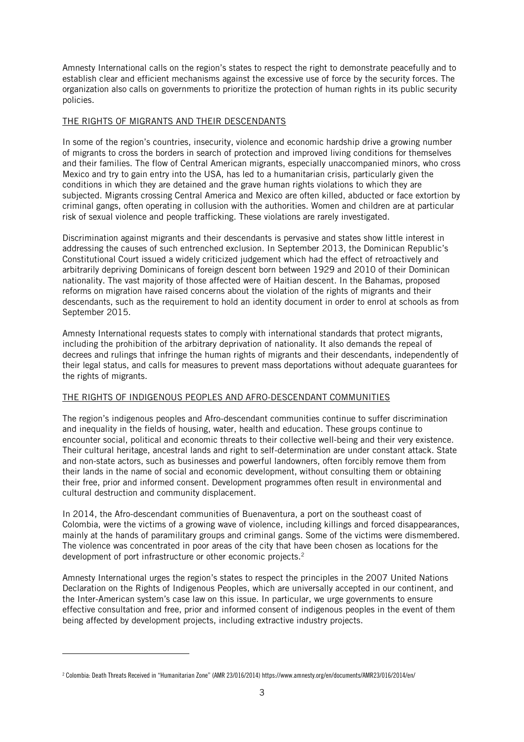Amnesty International calls on the region's states to respect the right to demonstrate peacefully and to establish clear and efficient mechanisms against the excessive use of force by the security forces. The organization also calls on governments to prioritize the protection of human rights in its public security policies.

# THE RIGHTS OF MIGRANTS AND THEIR DESCENDANTS

In some of the region's countries, insecurity, violence and economic hardship drive a growing number of migrants to cross the borders in search of protection and improved living conditions for themselves and their families. The flow of Central American migrants, especially unaccompanied minors, who cross Mexico and try to gain entry into the USA, has led to a humanitarian crisis, particularly given the conditions in which they are detained and the grave human rights violations to which they are subjected. Migrants crossing Central America and Mexico are often killed, abducted or face extortion by criminal gangs, often operating in collusion with the authorities. Women and children are at particular risk of sexual violence and people trafficking. These violations are rarely investigated.

Discrimination against migrants and their descendants is pervasive and states show little interest in addressing the causes of such entrenched exclusion. In September 2013, the Dominican Republic's Constitutional Court issued a widely criticized judgement which had the effect of retroactively and arbitrarily depriving Dominicans of foreign descent born between 1929 and 2010 of their Dominican nationality. The vast majority of those affected were of Haitian descent. In the Bahamas, proposed reforms on migration have raised concerns about the violation of the rights of migrants and their descendants, such as the requirement to hold an identity document in order to enrol at schools as from September 2015.

Amnesty International requests states to comply with international standards that protect migrants, including the prohibition of the arbitrary deprivation of nationality. It also demands the repeal of decrees and rulings that infringe the human rights of migrants and their descendants, independently of their legal status, and calls for measures to prevent mass deportations without adequate guarantees for the rights of migrants.

### THE RIGHTS OF INDIGENOUS PEOPLES AND AFRO-DESCENDANT COMMUNITIES

The region's indigenous peoples and Afro-descendant communities continue to suffer discrimination and inequality in the fields of housing, water, health and education. These groups continue to encounter social, political and economic threats to their collective well-being and their very existence. Their cultural heritage, ancestral lands and right to self-determination are under constant attack. State and non-state actors, such as businesses and powerful landowners, often forcibly remove them from their lands in the name of social and economic development, without consulting them or obtaining their free, prior and informed consent. Development programmes often result in environmental and cultural destruction and community displacement.

In 2014, the Afro-descendant communities of Buenaventura, a port on the southeast coast of Colombia, were the victims of a growing wave of violence, including killings and forced disappearances, mainly at the hands of paramilitary groups and criminal gangs. Some of the victims were dismembered. The violence was concentrated in poor areas of the city that have been chosen as locations for the development of port infrastructure or other economic projects.<sup>2</sup>

Amnesty International urges the region's states to respect the principles in the 2007 United Nations Declaration on the Rights of Indigenous Peoples, which are universally accepted in our continent, and the Inter-American system's case law on this issue. In particular, we urge governments to ensure effective consultation and free, prior and informed consent of indigenous peoples in the event of them being affected by development projects, including extractive industry projects.

-

<sup>2</sup> Colombia: Death Threats Received in "Humanitarian Zone" (AMR 23/016/2014) https://www.amnesty.org/en/documents/AMR23/016/2014/en/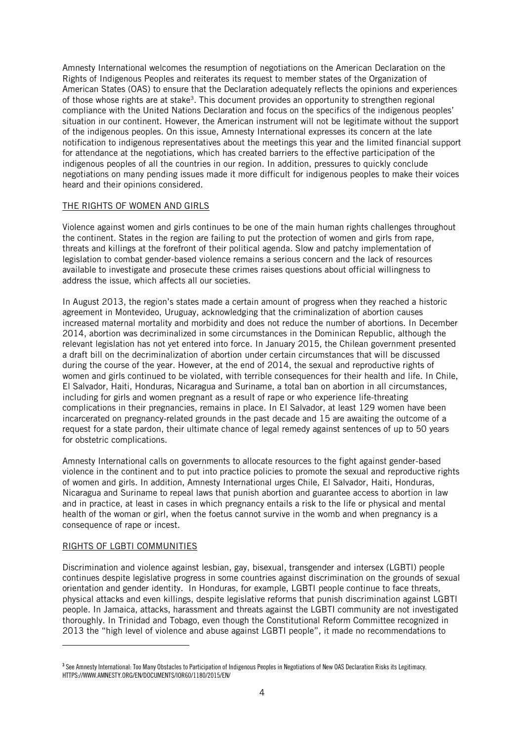Amnesty International welcomes the resumption of negotiations on the American Declaration on the Rights of Indigenous Peoples and reiterates its request to member states of the Organization of American States (OAS) to ensure that the Declaration adequately reflects the opinions and experiences of those whose rights are at stake<sup>3</sup>. This document provides an opportunity to strengthen regional compliance with the United Nations Declaration and focus on the specifics of the indigenous peoples' situation in our continent. However, the American instrument will not be legitimate without the support of the indigenous peoples. On this issue, Amnesty International expresses its concern at the late notification to indigenous representatives about the meetings this year and the limited financial support for attendance at the negotiations, which has created barriers to the effective participation of the indigenous peoples of all the countries in our region. In addition, pressures to quickly conclude negotiations on many pending issues made it more difficult for indigenous peoples to make their voices heard and their opinions considered.

# THE RIGHTS OF WOMEN AND GIRLS

Violence against women and girls continues to be one of the main human rights challenges throughout the continent. States in the region are failing to put the protection of women and girls from rape, threats and killings at the forefront of their political agenda. Slow and patchy implementation of legislation to combat gender-based violence remains a serious concern and the lack of resources available to investigate and prosecute these crimes raises questions about official willingness to address the issue, which affects all our societies.

In August 2013, the region's states made a certain amount of progress when they reached a historic agreement in Montevideo, Uruguay, acknowledging that the criminalization of abortion causes increased maternal mortality and morbidity and does not reduce the number of abortions. In December 2014, abortion was decriminalized in some circumstances in the Dominican Republic, although the relevant legislation has not yet entered into force. In January 2015, the Chilean government presented a draft bill on the decriminalization of abortion under certain circumstances that will be discussed during the course of the year. However, at the end of 2014, the sexual and reproductive rights of women and girls continued to be violated, with terrible consequences for their health and life. In Chile, El Salvador, Haiti, Honduras, Nicaragua and Suriname, a total ban on abortion in all circumstances, including for girls and women pregnant as a result of rape or who experience life-threating complications in their pregnancies, remains in place. In El Salvador, at least 129 women have been incarcerated on pregnancy-related grounds in the past decade and 15 are awaiting the outcome of a request for a state pardon, their ultimate chance of legal remedy against sentences of up to 50 years for obstetric complications.

Amnesty International calls on governments to allocate resources to the fight against gender-based violence in the continent and to put into practice policies to promote the sexual and reproductive rights of women and girls. In addition, Amnesty International urges Chile, El Salvador, Haiti, Honduras, Nicaragua and Suriname to repeal laws that punish abortion and guarantee access to abortion in law and in practice, at least in cases in which pregnancy entails a risk to the life or physical and mental health of the woman or girl, when the foetus cannot survive in the womb and when pregnancy is a consequence of rape or incest.

### RIGHTS OF LGBTI COMMUNITIES

-

Discrimination and violence against lesbian, gay, bisexual, transgender and intersex (LGBTI) people continues despite legislative progress in some countries against discrimination on the grounds of sexual orientation and gender identity. In Honduras, for example, LGBTI people continue to face threats, physical attacks and even killings, despite legislative reforms that punish discrimination against LGBTI people. In Jamaica, attacks, harassment and threats against the LGBTI community are not investigated thoroughly. In Trinidad and Tobago, even though the Constitutional Reform Committee recognized in 2013 the "high level of violence and abuse against LGBTI people", it made no recommendations to

**<sup>3</sup>** See Amnesty International: Too Many Obstacles to Participation of Indigenous Peoples in Negotiations of New OAS Declaration Risks its Legitimacy. HTTPS://WWW.AMNESTY.ORG/EN/DOCUMENTS/IOR60/1180/2015/EN/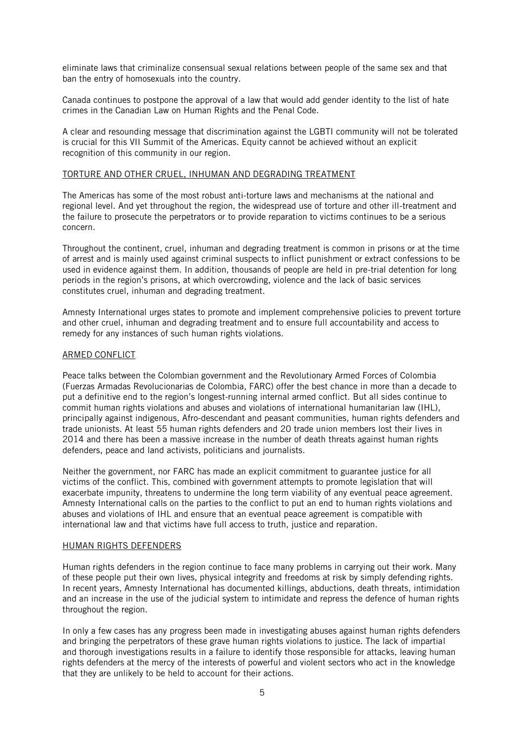eliminate laws that criminalize consensual sexual relations between people of the same sex and that ban the entry of homosexuals into the country.

Canada continues to postpone the approval of a law that would add gender identity to the list of hate crimes in the Canadian Law on Human Rights and the Penal Code.

A clear and resounding message that discrimination against the LGBTI community will not be tolerated is crucial for this VII Summit of the Americas. Equity cannot be achieved without an explicit recognition of this community in our region.

### TORTURE AND OTHER CRUEL, INHUMAN AND DEGRADING TREATMENT

The Americas has some of the most robust anti-torture laws and mechanisms at the national and regional level. And yet throughout the region, the widespread use of torture and other ill-treatment and the failure to prosecute the perpetrators or to provide reparation to victims continues to be a serious concern.

Throughout the continent, cruel, inhuman and degrading treatment is common in prisons or at the time of arrest and is mainly used against criminal suspects to inflict punishment or extract confessions to be used in evidence against them. In addition, thousands of people are held in pre-trial detention for long periods in the region's prisons, at which overcrowding, violence and the lack of basic services constitutes cruel, inhuman and degrading treatment.

Amnesty International urges states to promote and implement comprehensive policies to prevent torture and other cruel, inhuman and degrading treatment and to ensure full accountability and access to remedy for any instances of such human rights violations.

# ARMED CONFLICT

Peace talks between the Colombian government and the Revolutionary Armed Forces of Colombia (Fuerzas Armadas Revolucionarias de Colombia, FARC) offer the best chance in more than a decade to put a definitive end to the region's longest-running internal armed conflict. But all sides continue to commit human rights violations and abuses and violations of international humanitarian law (IHL), principally against indigenous, Afro-descendant and peasant communities, human rights defenders and trade unionists. At least 55 human rights defenders and 20 trade union members lost their lives in 2014 and there has been a massive increase in the number of death threats against human rights defenders, peace and land activists, politicians and journalists.

Neither the government, nor FARC has made an explicit commitment to guarantee justice for all victims of the conflict. This, combined with government attempts to promote legislation that will exacerbate impunity, threatens to undermine the long term viability of any eventual peace agreement. Amnesty International calls on the parties to the conflict to put an end to human rights violations and abuses and violations of IHL and ensure that an eventual peace agreement is compatible with international law and that victims have full access to truth, justice and reparation.

### HUMAN RIGHTS DEFENDERS

Human rights defenders in the region continue to face many problems in carrying out their work. Many of these people put their own lives, physical integrity and freedoms at risk by simply defending rights. In recent years, Amnesty International has documented killings, abductions, death threats, intimidation and an increase in the use of the judicial system to intimidate and repress the defence of human rights throughout the region.

In only a few cases has any progress been made in investigating abuses against human rights defenders and bringing the perpetrators of these grave human rights violations to justice. The lack of impartial and thorough investigations results in a failure to identify those responsible for attacks, leaving human rights defenders at the mercy of the interests of powerful and violent sectors who act in the knowledge that they are unlikely to be held to account for their actions.